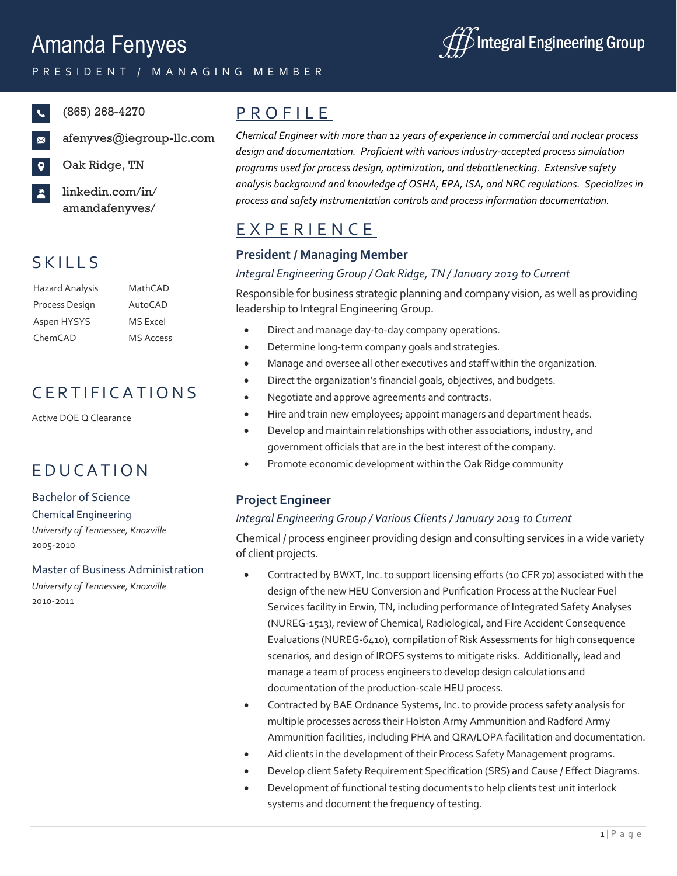# Amanda Fenyves



### P R E S I D E N T / M A N A G I N G M E M B E R

 $\mathbf{C}$ 

- Oak Ridge, TN
- linkedin.com/in/ amandafenyves/

### **SKILLS**

Hazard Analysis MathCAD Process Design AutoCAD Aspen HYSYS MS Excel ChemCAD MS Access

### C E R T I F I C A T I O N S

Active DOE Q Clearance

## **EDUCATION**

#### Bachelor of Science

Chemical Engineering *University of Tennessee, Knoxville* 2005-2010

Master of Business Administration *University of Tennessee, Knoxville* 2010-2011

## (865) 268-4270 P R O F I L E

afenyves@iegroup-llc.com *Chemical Engineer with more than 12 years of experience in commercial and nuclear process design and documentation. Proficient with various industry-accepted process simulation programs used for process design, optimization, and debottlenecking. Extensive safety analysis background and knowledge of OSHA, EPA, ISA, and NRC regulations. Specializes in process and safety instrumentation controls and process information documentation.*

### E X P E R I E N C E

### **President / Managing Member**

#### *Integral Engineering Group / Oak Ridge, TN / January 2019 to Current*

Responsible for business strategic planning and company vision, as well as providing leadership to Integral Engineering Group.

- Direct and manage day-to-day company operations.
- Determine long-term company goals and strategies.
- Manage and oversee all other executives and staff within the organization.
- Direct the organization's financial goals, objectives, and budgets.
- Negotiate and approve agreements and contracts.
- Hire and train new employees; appoint managers and department heads.
- Develop and maintain relationships with other associations, industry, and government officials that are in the best interest of the company.
- Promote economic development within the Oak Ridge community

### **Project Engineer**

#### *Integral Engineering Group / Various Clients / January 2019 to Current*

Chemical / process engineer providing design and consulting services in a wide variety of client projects.

- Contracted by BWXT, Inc. to support licensing efforts (10 CFR 70) associated with the design of the new HEU Conversion and Purification Process at the Nuclear Fuel Services facility in Erwin, TN, including performance of Integrated Safety Analyses (NUREG-1513), review of Chemical, Radiological, and Fire Accident Consequence Evaluations (NUREG-6410), compilation of Risk Assessments for high consequence scenarios, and design of IROFS systems to mitigate risks. Additionally, lead and manage a team of process engineers to develop design calculations and documentation of the production-scale HEU process.
- Contracted by BAE Ordnance Systems, Inc. to provide process safety analysis for multiple processes across their Holston Army Ammunition and Radford Army Ammunition facilities, including PHA and QRA/LOPA facilitation and documentation.
- Aid clients in the development of their Process Safety Management programs.
- Develop client Safety Requirement Specification (SRS) and Cause / Effect Diagrams.
- Development of functional testing documents to help clients test unit interlock systems and document the frequency of testing.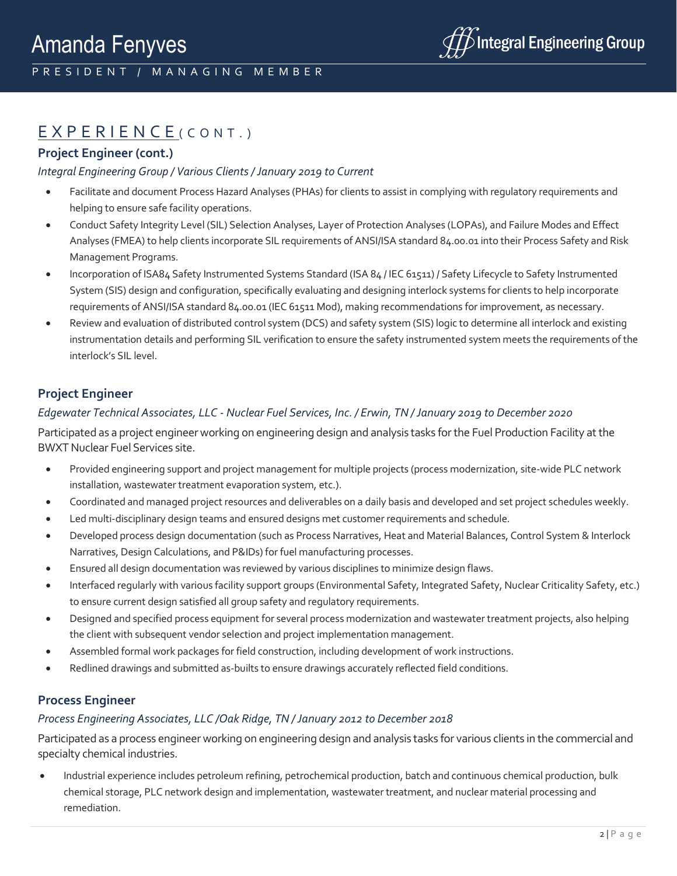### $EXPERIENCE$  (CONT.)

#### **Project Engineer (cont.)**

#### *Integral Engineering Group / Various Clients / January 2019 to Current*

- Facilitate and document Process Hazard Analyses (PHAs) for clients to assist in complying with regulatory requirements and helping to ensure safe facility operations.
- Conduct Safety Integrity Level (SIL) Selection Analyses, Layer of Protection Analyses (LOPAs), and Failure Modes and Effect Analyses (FMEA) to help clients incorporate SIL requirements of ANSI/ISA standard 84.00.01 into their Process Safety and Risk Management Programs.
- Incorporation of ISA84 Safety Instrumented Systems Standard (ISA 84 / IEC 61511) / Safety Lifecycle to Safety Instrumented System (SIS) design and configuration, specifically evaluating and designing interlock systems for clients to help incorporate requirements of ANSI/ISA standard 84.00.01 (IEC 61511 Mod), making recommendations for improvement, as necessary.
- Review and evaluation of distributed control system (DCS) and safety system (SIS) logic to determine all interlock and existing instrumentation details and performing SIL verification to ensure the safety instrumented system meets the requirements of the interlock's SIL level.

#### **Project Engineer**

#### *Edgewater Technical Associates, LLC - Nuclear Fuel Services, Inc. / Erwin, TN / January 2019 to December 2020*

Participated as a project engineer working on engineering design and analysis tasks for the Fuel Production Facility at the BWXT Nuclear Fuel Services site.

- Provided engineering support and project management for multiple projects (process modernization, site-wide PLC network installation, wastewater treatment evaporation system, etc.).
- Coordinated and managed project resources and deliverables on a daily basis and developed and set project schedules weekly.
- Led multi-disciplinary design teams and ensured designs met customer requirements and schedule.
- Developed process design documentation (such as Process Narratives, Heat and Material Balances, Control System & Interlock Narratives, Design Calculations, and P&IDs) for fuel manufacturing processes.
- Ensured all design documentation was reviewed by various disciplines to minimize design flaws.
- Interfaced regularly with various facility support groups (Environmental Safety, Integrated Safety, Nuclear Criticality Safety, etc.) to ensure current design satisfied all group safety and regulatory requirements.
- Designed and specified process equipment for several process modernization and wastewater treatment projects, also helping the client with subsequent vendor selection and project implementation management.
- Assembled formal work packages for field construction, including development of work instructions.
- Redlined drawings and submitted as-builts to ensure drawings accurately reflected field conditions.

#### **Process Engineer**

#### *Process Engineering Associates, LLC /Oak Ridge, TN / January 2012 to December 2018*

Participated as a process engineer working on engineering design and analysis tasks for various clients in the commercial and specialty chemical industries.

• Industrial experience includes petroleum refining, petrochemical production, batch and continuous chemical production, bulk chemical storage, PLC network design and implementation, wastewater treatment, and nuclear material processing and remediation.